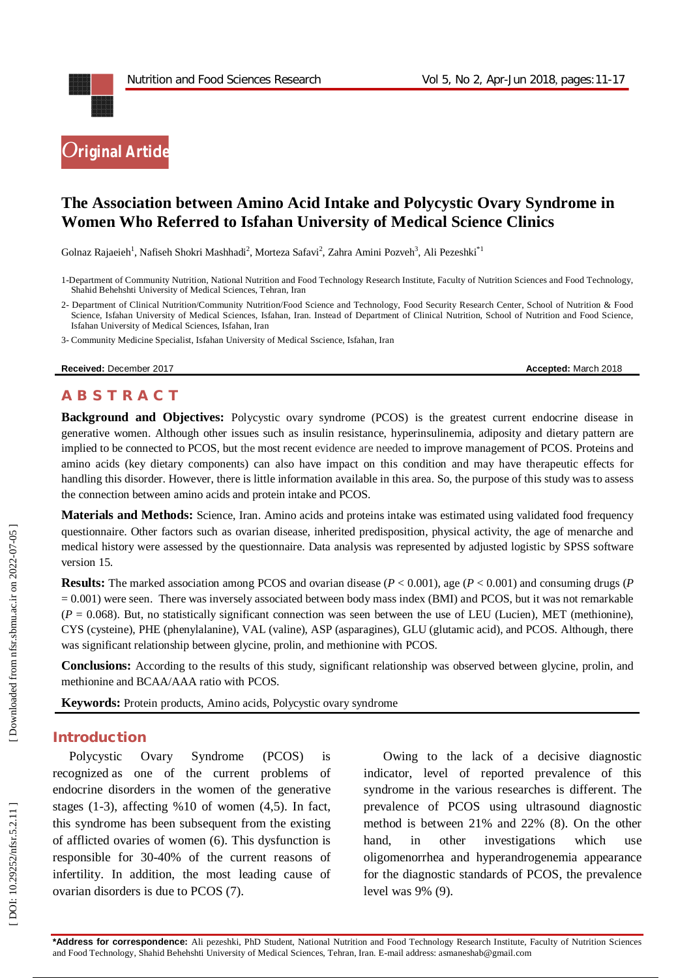

# **The Association between Amino Acid Intake and Polycystic Ovary Syndrome in Women Who Referred to Isfahan University of Medical Science Clinics**

Golnaz Rajaeieh<sup>1</sup>, Nafiseh Shokri Mashhadi<sup>2</sup>, Morteza Safavi<sup>2</sup>, Zahra Amini Pozveh<sup>3</sup>, Ali Pezeshki<sup>\*1</sup>

3 - Community Medicine Specialist, Isfahan University of Medical Sscience, Isfahan, Iran

**Received:** December 201

7 **Accepted:** March 201 8

## **A B S T R A C T**

**Background and Objectives:** Polycystic ovary syndrome (PCOS) is the greatest current endocrine disease in generative women. Although other issues such as insulin resistance, hyperinsulinemia, adiposity and dietary pattern are implied to be connected to PCOS, but the most recent evidence are needed to improve management of PCOS. Proteins and amino acids (key dietary components) can also have impact on this condition and may have therapeutic effects for handling this disorder. However, there is little information available in this area. So, the purpose of this study was to assess the connection between amino acids and protein intake and PCOS.

**Materials and Methods:** Science, Iran. Amino acids and proteins intake was estimated using validated food frequency questionnaire. Other factors such as ovarian disease, inherited predisposition, physical activity, the age of menarche and medical history were assessed by the questionnaire. Data analysis was represented by adjusted logistic by SPSS software version 15.

**Results:** The marked association among PCOS and ovarian disease (*P* < 0.001), age (*P* < 0.001) and consuming drugs (*P*   $= 0.001$ ) were seen. There was inversely associated between body mass index (BMI) and PCOS, but it was not remarkable ( $P = 0.068$ ). But, no statistically significant connection was seen between the use of LEU (Lucien), M CYS (cysteine), PHE (phenylalanine), VAL (valine), ASP (asparagines), GLU (glutamic acid), and PCOS. Although, there was significant relationship between glycine, prolin, and methionine with PCOS.

**Conclusions:** According to the results of this study, significant relationship was observed between glycine, prolin, and methionine and BCAA/AAA ratio with PCOS.

**Keywords:** Protein products, Amino acids, Polycystic ovary syndrome

## **Introduction**

Polycystic Ovary Syndrome (PCOS) is recognized as one of the current problems of endocrine disorders in the women of the generative stages (1 -3), affecting %10 of women (4,5). In fact, this syndrome has been subsequent from the existing of afflicted ovaries of women (6). This dysfunction is responsible for 30 -40% of the current reasons of infertility. In addition, the most leading cause of ovarian disorders is due to PCOS (7).

Owing to the lack of a decisive diagnostic indicator, level of reported prevalence of this syndrome in the various researches is different. The prevalence of PCO S using ultrasound diagnostic method is between 21% and 22% (8). On the other hand, in other investigations which use oligomenorrhea and hyperandrogenemia appearance for the diagnostic standards of PCOS, the prevalence level was 9% (9).

<sup>1</sup> -Department of Community Nutrition, National Nutrition and Food Technology Research Institute, Faculty of Nutrition Sciences and Food Technology, Shahid Behehshti University of Medical Sciences, Tehran, Iran

<sup>2</sup> - Department of Clinical Nutrition/Community Nutrition/Food Science and Technology, Food Security Research Center, School of Nutrition & Food Science, Isfahan University of Medical Sciences, Isfahan, Iran. Instead of Department of Clinical Nutrition, School of Nutrition and Food Science, Isfahan University of Medical Sciences, Isfahan, Iran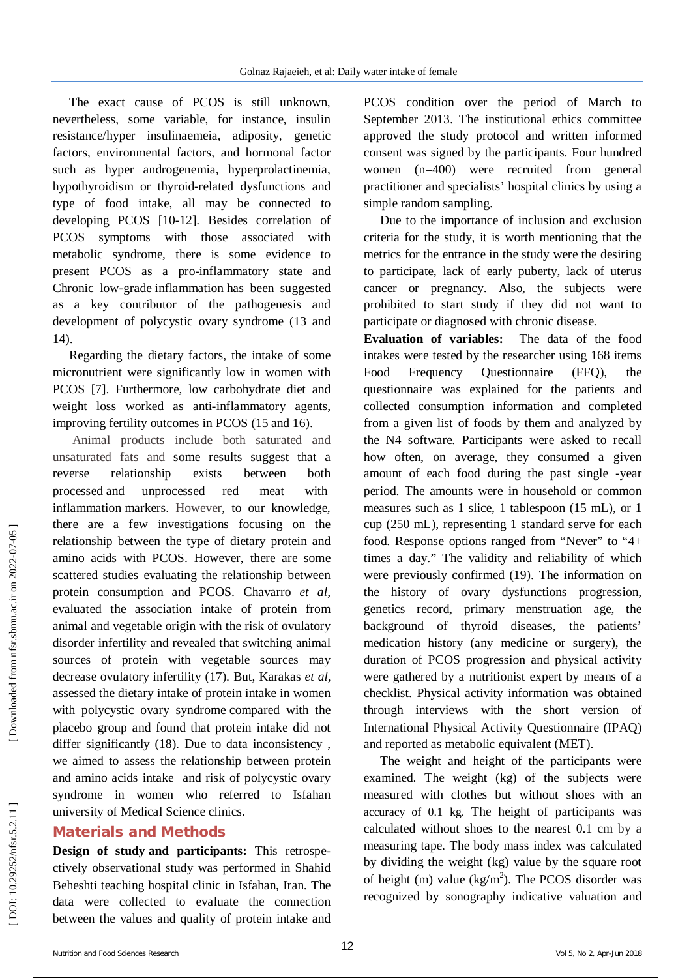The exact cause of PCOS is still unknown, nevertheless, some variable, for instance, insulin resistance/hyper insulinaemeia, adiposity, genetic factors, environmental factors, and hormonal factor such as hyper androgenemia, hyperprolactinemia, hypothyroidism or thyroid -related dysfunctions and type of food intake, all may be connected to developing PCOS [10 -12]. Besides correlation of PCOS symptoms with those associated with metabolic syndrome, there is some evidence to present PCOS as a pro -inflammatory state and Chronic low -grade inflammation has been suggested as a key contributor of the pathogenesis and development of polycystic ovary syndrome (13 and 14).

Regarding the dietary factors, the intake of some micronutrient were significantly low in women with PCOS [7]. Furthermore, low carbohydrate diet and weight loss worked as anti -inflammatory agents, improving fertility outcomes in PCOS (15 and 16).

Animal products include both saturated and unsaturated fats and some results suggest that a reverse relationship exists between both processed and unprocessed red meat with inflammation markers. However, to our knowledge, there are a few investigations focusing on the relationship between the type of dietary protein and amino acids with PCOS. However, there are some scattered studies evaluating the relationship between protein consumption and PCOS. Chavarro *et al,* evaluated the association intake of protein from animal and vegetable origin with the risk of ovulatory disorder infertility and revealed that switching animal sources of protein with vegetable sources may decrease ovulatory infertility (17). But, Karakas *et al,* assessed the dietary intake of protein intake in women with polycystic ovary syndrome compared with the placebo group and found that protein intake did not differ significantly (18). Due to data inconsistency , we aimed to assess the relationship between protein and amino acids intake and risk of polycystic ovary syndrome in women who referred to Isfahan university of Medical Science clinics.

## **Materials and Methods**

**Design of study and participants:** This retrospe ctively observational study was performed in Shahid Beheshti teaching hospital clinic in Isfahan, Iran. The data were collected to evaluate the connection between the values and quality of protein intake and

PCOS condition over the period of March to September 2013. The institutional ethics committee approved the study protocol and written informed consent was signed by the participants. Four hundred women (n=400) were recruited from general practitioner and specialists' hospital clinics by using a simple random sampling.

Due to the importance of inclusion and exclusion criteria for the study, it is worth mentioning that the metrics for the entrance in the study were the desiring to participate, lack of early puberty, lack of uterus cancer or pregnancy. Also, the subjects were prohibited to start study if they did not want to participate or diagnosed with chronic disease.

**Evaluation of variables:** The data of the food intakes were tested by the researcher using 168 items Food Frequency Questionnaire (FFQ), the questionnaire was explained for the patients and collected consumption information and completed from a given list of foods by them and analyzed by the N4 software . Participants were asked to recall how often, on average, they consumed a given amount of each food during the past single -year period. The amounts were in household or common measures such as 1 slice, 1 tablespoon (15 mL), or 1 cup (250 mL), representing 1 standard serve for each food. Response options ranged from "Never" to "4+ times a day." The validity and reliability of which were previously confirmed (19). The information on the history of ovary dysfunctions progression, genetics record, primary menstruation age, the background of thyroid diseases, the patients' medication history (any medicine or surgery), the duration of PCOS progression and physical activity were gathered by a nutritionist expert by means of a checklist. Physical activity information was obtained through interviews with the short version of International Physical Activity Questionnaire (IPAQ) and reported as metabolic equivalent (MET ) .

The weight and height of the participants were examined. The weight (kg) of the subjects were measured with clothes but without shoes with an accuracy of 0.1 kg. The height of participants was calculated without shoes to the nearest 0.1 cm by a measuring tape. The body mass index was calculated by dividing the weight (kg) value by the square root of height (m) value ( $\text{kg/m}^2$ ). The PCOS disorder was recognized by sonography indicative valuation and

Downloaded from nfsr.sbmu.ac.ir on 2022-07-05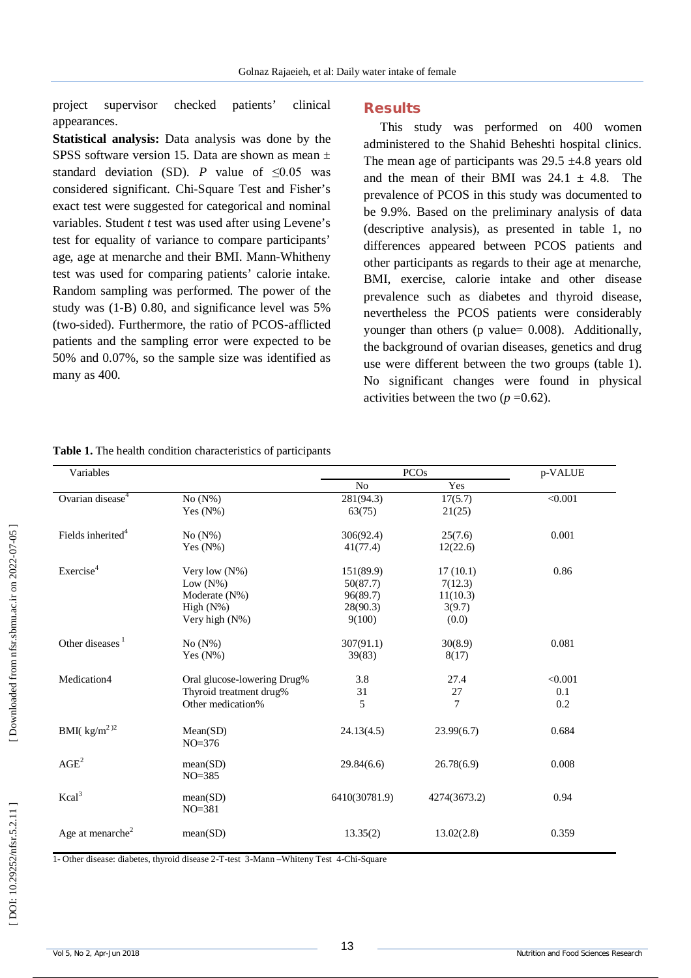project supervisor checked patients' clinical appearances.

**Statistical analysis:** Data analysis was done by the SPSS software version 15. Data are shown as mean  $\pm$ standard deviation (SD). *P* value of  $\leq 0.05$  was considered significant. Chi -Square Test and Fisher's exact test were suggested for categorical and nominal variables. Student *t* test was used after using Levene's test for equality of variance to compare participants' age, age at menarche and their BMI. Mann -Whitheny test was used for comparing patients' calorie intake. Random sampling was performed. The power of the study was (1 -B) 0.80, and significance level was 5% (two -sided). Furthermore, the ratio of PCOS -afflicted patients and the sampling error were expected to be 50% and 0.07%, so the sample size was identified as many as 400.

#### **Results**

This study was performed on 400 women administered to the Shahid Beheshti hospital clinics. The mean age of participants was  $29.5 \pm 4.8$  years old and the mean of their BMI was  $24.1 \pm 4.8$ . The prevalence of PCOS in this study was documented to be 9.9%. Based on the preliminary analysis of data (descriptive analysis), as presented in table 1, no differences appeared between PCOS patients and other participants as regards to their age at menarche, BMI, exercise, calorie intake and other disease prevalence such as diabetes and thyroid disease, nevertheless the PCOS patients were considerably younger than others (p value= 0.008). Additionally, the background of ovarian diseases, genetics and drug use were different between the two groups (table 1). No significant changes were found in physical activities between the two  $(p=0.62)$ .

| Variables                           |                             | PCO <sub>s</sub> |              | p-VALUE        |
|-------------------------------------|-----------------------------|------------------|--------------|----------------|
|                                     |                             | N <sub>o</sub>   | Yes          |                |
| Ovarian disease <sup>4</sup>        | $No(N\%)$                   | 281(94.3)        | 17(5.7)      | $\sqrt{0.001}$ |
|                                     | Yes $(N\%)$                 | 63(75)           | 21(25)       |                |
| Fields inherited <sup>4</sup>       | $No(N\%)$                   | 306(92.4)        | 25(7.6)      | 0.001          |
|                                     | Yes $(N\%)$                 | 41(77.4)         | 12(22.6)     |                |
| Exercise <sup>4</sup>               | Very low $(N\%)$            | 151(89.9)        | 17(10.1)     | 0.86           |
|                                     | Low $(N\%)$                 | 50(87.7)         | 7(12.3)      |                |
|                                     | Moderate (N%)               | 96(89.7)         | 11(10.3)     |                |
|                                     | High $(N\%)$                | 28(90.3)         | 3(9.7)       |                |
|                                     | Very high $(N\%)$           | 9(100)           | (0.0)        |                |
| Other diseases <sup>1</sup>         | $No(N\%)$                   | 307(91.1)        | 30(8.9)      | 0.081          |
|                                     | Yes $(N\%)$                 | 39(83)           | 8(17)        |                |
| Medication4                         | Oral glucose-lowering Drug% | 3.8              | 27.4         | < 0.001        |
|                                     | Thyroid treatment drug%     | 31               | 27           | 0.1            |
|                                     | Other medication%           | 5                | 7            | 0.2            |
| BMI( $\text{kg/m}^2$ ) <sup>2</sup> | Mean(SD)<br>$NO = 376$      | 24.13(4.5)       | 23.99(6.7)   | 0.684          |
| AGE <sup>2</sup>                    | mean(SD)<br>$NO = 385$      | 29.84(6.6)       | 26.78(6.9)   | 0.008          |
| $Kcal^3$                            | mean(SD)<br>$NO = 381$      | 6410(30781.9)    | 4274(3673.2) | 0.94           |
| Age at menarche <sup>2</sup>        | mean(SD)                    | 13.35(2)         | 13.02(2.8)   | 0.359          |

#### **Table 1.** The health condition characteristics of participants

1- Other disease: diabetes, thyroid disease 2-T-test 3-Mann - Whiteny Test 4-Chi-Square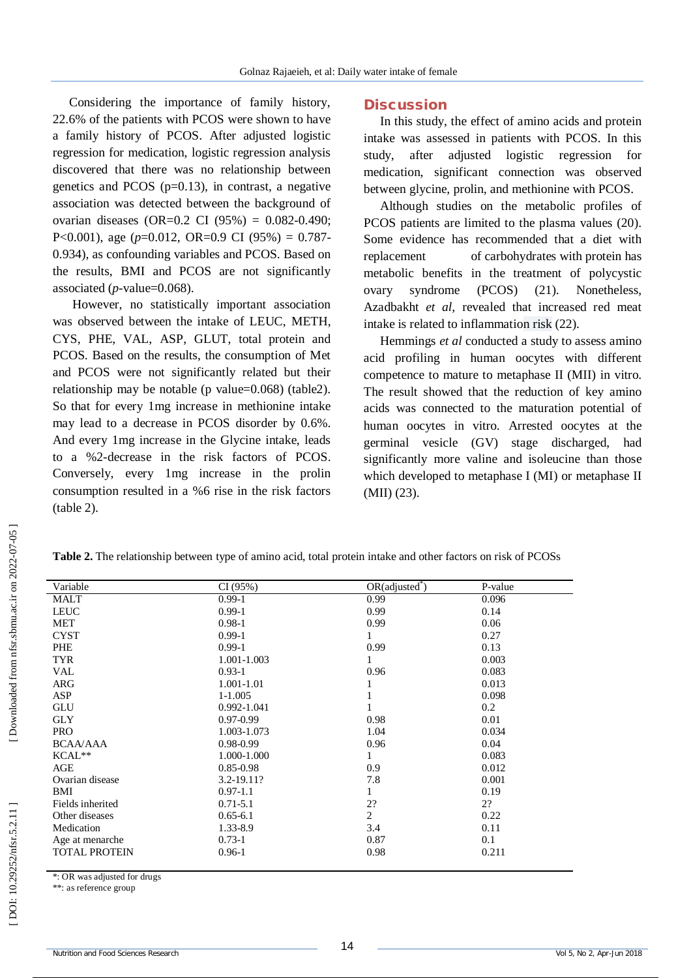Considering the importance of family history, 22.6% of the patients with PCOS were shown to have a family history of PCOS. After adjusted logistic regression for medication, logistic regression analysis discovered that there was no relationship between genetics and PCOS  $(p=0.13)$ , in contrast, a negative association was detected between the background of ovarian diseases (OR=0.2 CI (95%) = 0.082 -0.490; P<0.001), age (*p*=0.012, OR=0.9 CI (95%) = 0.787 - 0.934), as confounding variables and PCOS. Based on the results, BMI and PCOS are not significantly associated (*p* -value=0.068).

However, no statistically important association was observed between the intake of LEUC, METH, CYS, PHE, VAL, ASP, GLUT, total protein and PCOS. Based on the results, the consumption of Met and PCOS were not significantly related but their relationship may be notable (p value=0.068) (table2). So that for every 1mg increase in methionine intake may lead to a decrease in PCOS disorder by 0.6%. And every 1mg increase in the Glycine intake, leads to a %2 -decrease in the risk factors of PCOS. Conversely, every 1mg increase in the prolin consumption resulted in a %6 rise in the risk factors (table 2).

## **Discussion**

In this study, the effect of amino acids and protein intake was assessed in patients with PCOS. In this study, after adjusted logistic regression for medication, significant connection was observed between glycine, prolin, and methionine with PCOS.

Although studies on the metabolic profiles of PCOS patients are limited to the plasma values (20). Some evidence has recommended that a diet with replacement f carbohydrates with protein has metabolic benefits in the treatment of polycystic ovary syndrome (PCOS) (21). Nonetheless, Azadbakht *et al,* revealed that increased red meat intake is related to inflammation risk (22).

Hemmings *et al* conducted a study to assess amino acid profiling in human oocytes with different competence to mature to metaphase II (MII) in vitro. The result showed that the reduction of key amino acids was connected to the maturation potential of human oocytes in vitro. Arrested oocytes at the germinal vesicle (GV) stage discharged, had significantly more valine and isoleucine than those which developed to metaphase I (MI) or metaphase II (MII) (23).

| Variable             | CI(95%)       | $OR(adjusted^*)$ | P-value |
|----------------------|---------------|------------------|---------|
| <b>MALT</b>          | $0.99 - 1$    | 0.99             | 0.096   |
| <b>LEUC</b>          | $0.99 - 1$    | 0.99             | 0.14    |
| <b>MET</b>           | $0.98 - 1$    | 0.99             | 0.06    |
| <b>CYST</b>          | $0.99 - 1$    | 1                | 0.27    |
| <b>PHE</b>           | $0.99 - 1$    | 0.99             | 0.13    |
| <b>TYR</b>           | 1.001-1.003   | 1                | 0.003   |
| <b>VAL</b>           | $0.93 - 1$    | 0.96             | 0.083   |
| <b>ARG</b>           | 1.001-1.01    | 1                | 0.013   |
| <b>ASP</b>           | $1-1.005$     | 1                | 0.098   |
| GLU                  | 0.992-1.041   | $\mathbf{1}$     | 0.2     |
| <b>GLY</b>           | $0.97 - 0.99$ | 0.98             | 0.01    |
| <b>PRO</b>           | 1.003-1.073   | 1.04             | 0.034   |
| <b>BCAA/AAA</b>      | $0.98 - 0.99$ | 0.96             | 0.04    |
| KCAL**               | 1.000-1.000   | $\mathbf{1}$     | 0.083   |
| AGE                  | $0.85 - 0.98$ | 0.9              | 0.012   |
| Ovarian disease      | 3.2-19.11?    | 7.8              | 0.001   |
| BMI                  | $0.97 - 1.1$  | 1                | 0.19    |
| Fields inherited     | $0.71 - 5.1$  | 2?               | 2?      |
| Other diseases       | $0.65 - 6.1$  | $\overline{c}$   | 0.22    |
| Medication           | 1.33-8.9      | 3.4              | 0.11    |
| Age at menarche      | $0.73 - 1$    | 0.87             | 0.1     |
| <b>TOTAL PROTEIN</b> | $0.96 - 1$    | 0.98             | 0.211   |
|                      |               |                  |         |

**Table 2.**  The relationship between type of amino acid, total protein intake and other factors on risk of PCOSs

\*: OR was adjusted for drugs

\*\*: as reference group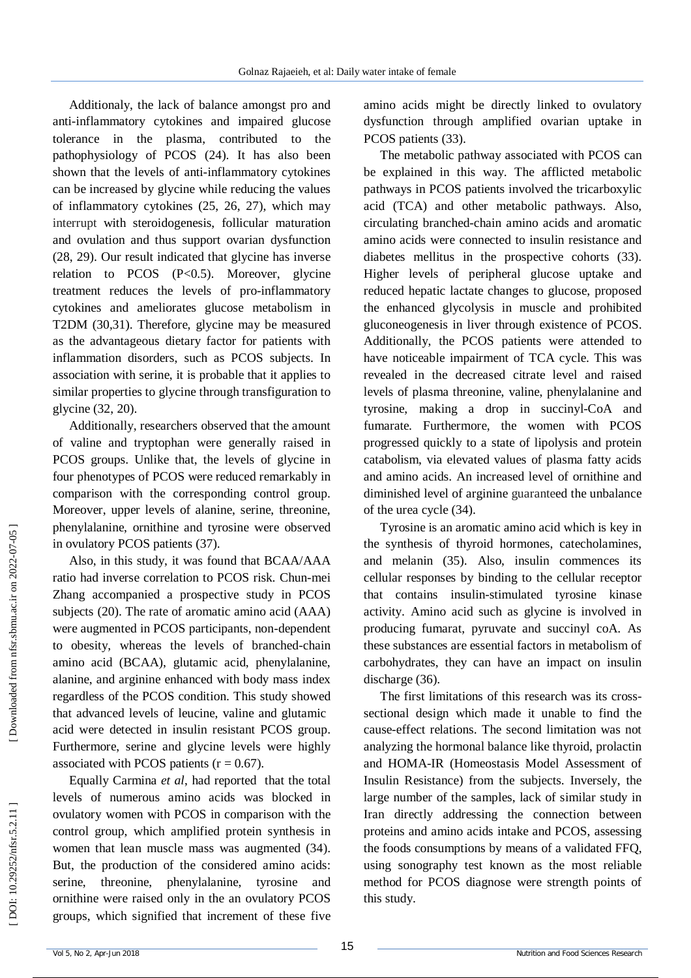Additionaly, the lack of balance amongst pro and anti -inflammatory cytokines and impaired glucose tolerance in the plasma, contributed to the pathophysiology of PCOS (24). It has also been shown that the levels of anti -inflammatory cytokines can be increased by glycine while reducing the values of inflammatory cytokines (25, 26, 27), which may interrupt with steroidogenesis, follicular maturation and ovulation and thus support ovarian dysfunction (28, 29). Our result indicated that glycine has inverse relation to PCOS  $(P<0.5)$ . Moreover, glycine treatment reduces the levels of pro -inflammatory cytokines and ameliorates glucose metabolism in T2DM (30,31). Therefore, glycine may be measured as the advantageous dietary factor for patients with inflammation disorders, such as PCOS subjects. In association with serine, it is probable that it applies to similar properties to glycine through transfiguration to glycine (32, 20).

Additionally, researchers observed that the amount of valine and tryptophan were generally raised in PCOS groups. Unlike that, the levels of glycine in four phenotypes of PCOS were reduced remarkably in comparison with the corresponding control group. Moreover, upper levels of alanine, serine, threonine, phenylalanine, ornithine and tyrosine were observed in ovulatory PCOS patients (37).

Also, in this study, it was found that BCAA/AAA ratio had inverse correlation to PCOS risk. Chun -mei Zhang accompanied a prospective study in PCOS subjects (20). The rate of aromatic amino acid (AAA) were augmented in PCOS participants, non -dependent to obesity, whereas the levels of branched -chain amino acid (BCAA), glutamic acid, phenylalanine, alanine, and arginine enhanced with body mass index regardless of the PCOS condition. This study showed that advanced levels of leucine, valine and glutamic acid were detected in insulin resistant PCOS group. Furthermore, serine and glycine levels were highly associated with PCOS patients  $(r = 0.67)$ .

Equally Carmina *et al*, had reported that the total levels of numerous amino acids was blocked in ovulatory women with PCOS in comparison with the control group, which amplified protein synthesis in women that lean muscle mass was augmented (34). But, the production of the considered amino acids: serine, threonine, phenylalanine, tyrosine and ornithine were raised only in the an ovulatory PCOS groups, which signified that increment of these five

amino acids might be directly linked to ovulatory dysfunction through amplified ovarian uptake in PCOS patients (33).

The metabolic pathway associated with PCOS can be explained in this way. The afflicted metabolic pathways in PCOS patients involved the tricarboxylic acid (TCA) and other metabolic pathways. Also, circulating branched -chain amino acids and aromatic amino acids were connected to insulin resistance and diabetes mellitus in the prospective cohorts (33). Higher levels of peripheral glucose uptake and reduced hepatic lactate changes to glucose, proposed the enhanced glycolysis in muscle and prohibited gluconeogenesis in liver through existence of PCOS. Additionally, the PCOS patients were attended to have noticeable impairment of TCA cycle. This was revealed in the decreased citrate level and raised levels of plasma threonine, valine, phenylalanine and tyrosine, making a drop in succinyl -CoA and fumarate. Furthermore, the women with PCOS progressed quickly to a state of lipolysis and protein catabolism, via elevated values of plasma fatty acids and amino acids. An increased level of ornithine and diminished level of arginine guaranteed the unbalance of the urea cycle (34).

Tyrosine is an aromatic amino acid which is key in the synthesis of thyroid hormones, catecholamines, and melanin (35). Also, insulin commences its cellular responses by binding to the cellular receptor that contains insulin -stimulated tyrosine kinase activity. Amino acid such as glycine is involved in producing fumarat, pyruvate and succinyl coA. As these substances are essential factors in metabolism of carbohydrates, they can have an impact on insulin discharge (36).

The first limitations of this research was its cross sectional design which made it unable to find the cause -effect relations. The second limitation was not analyzing the hormonal balance like thyroid, prolactin and HOMA -IR (Homeostasis Model Assessment of Insulin Resistance) from the subjects. Inversely, the large number of the samples, lack of similar study in Iran directly addressing the connection between proteins and amino acids intake and PCOS, assessing the foods consumptions by means of a validated FFQ, using sonography test known as the most reliable method for PCOS diagnose were strength points of this study.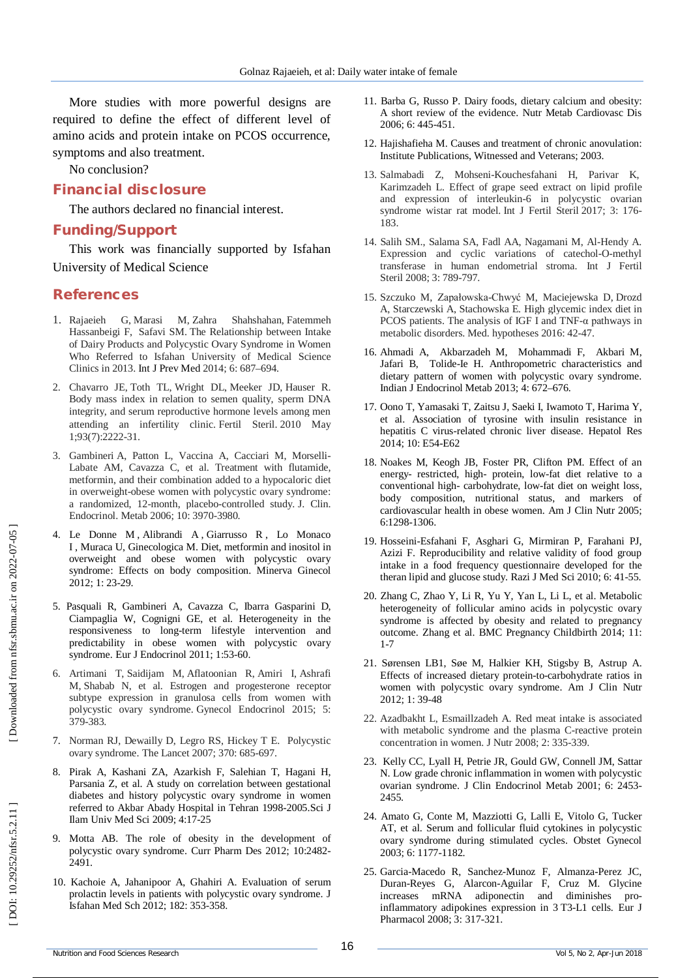More studies with more powerful designs are required to define the effect of different level of amino acids and protein intake on PCOS occurrence, symptoms and also treatment.

No conclusion?

### **Financial disclosure**

The authors declared no financial interest.

### **Funding/Support**

This work was financially supported by Isfahan University of Medical Science

#### **References**

- 1. Rajaeieh G , Marasi M , Zahra Shahshahan, Fatemmeh Hassanbeigi F, Safavi SM . The Relationship between Intake of Dairy Products and Polycystic Ovary Syndrome in Women Who Referred to Isfahan University of Medical Science Clinics in 2013. Int J Prev Med 2014; 6: 687 –694 .
- 2. Chavarro JE , Toth TL , Wright DL , Meeker JD , Hauser R. Body mass index in relation to semen quality, sperm DNA integrity, and serum reproductive hormone levels among men attending an infertility clinic. Fertil Steril. 2010 May 1;93(7):2222 -31 .
- 3. Gambineri A, Patton L, Vaccina A, Cacciari M, Morselli Labate AM, Cavazza C, et al. Treatment with flutamide, metformin, and their combination added to a hypocaloric diet in overweight -obese women with polycystic ovary syndrome: a randomized, 12 -month, placebo -controlled study. J. Clin. Endocrinol. Metab 2006; 10: 3970 -3980.
- 4. Le Donne M , Alibrandi A , Giarrusso R , Lo Monaco I , Muraca U, Ginecologica M. Diet, metformin and inositol in overweight and obese women with polycystic ovary syndrome: Effects on body composition. Minerva Ginecol 2012; 1 : 23 - 29.
- 5 . Pasquali R, Gambineri A, Cavazza C, Ibarra Gasparini D, Ciampaglia W, Cognigni GE, et al. Heterogeneity in the responsiveness to long -term lifestyle intervention and predictability in obese women with polycystic ovary syndrome. Eur J Endocrinol 2011; 1:53 -60.
- 6. Artimani T, Saidijam M, Aflatoonian R, Amiri I, Ashrafi M, Shabab N, et al. Estrogen and progesterone receptor subtype expression in granulosa cells from women with polycystic ovary syndrome. Gynecol Endocrinol 2015; 5: 379 -383.
- 7. Norman RJ, Dewailly D, Legro RS, Hickey T E. Polycystic ovary syndrome. The Lancet 2007; 370: 685 -697.
- 8. Pirak A, Kashani ZA, Azarkish F, Salehian T, Hagani H, Parsania Z, et al. A study on correlation between gestational diabetes and history polycystic ovary syndrome in women referred to Akbar Abady Hospital in Tehran 1998 -2005.Sci J Ilam Univ Med Sci 2009; 4:17 -25
- 9. Motta AB. The role of obesity in the development of polycystic ovary syndrome. Curr Pharm Des 2012; 1 0:2482 - 2491.
- 10. Kachoie A, Jahanipoor A, Ghahiri A. Evaluation of serum prolactin levels in patients with polycystic ovary syndrome. J Isfahan Med Sch 2012; 182 : 353 -358.
- 11. Barba G, Russo P. Dairy foods, dietary calcium and obesity: A short review of the evidence. Nutr Metab Cardiovasc Dis 2006; 6: 445 - 451.
- 12. Hajishafieha M. Causes and treatment of chronic anovulation: Institute Publications, Witnessed and Veterans; 2003 .
- 13. Salmabadi Z , Mohseni -Kouchesfahani H , Parivar K , Karimzadeh L. Effect of grape seed extract on lipid profile and expression of interleukin -6 in polycystic ovarian syndrome wistar rat model. Int J Fertil Steril 2017; 3: 176 - 183 .
- 14. Salih SM., Salama SA, Fadl AA, Nagamani M, Al -Hendy A. Expression and cyclic variations of catechol-O-methyl transferase in human endometrial stroma. Int J Fertil Steril 2008; 3: 789 -797.
- 15. Szczuko M , Zapałowska -Chwyć M, Maciejewska D, Drozd A , Starczewski A , Stachowska E. High glycemic index diet in PCOS patients. The analysis of IGF I and TNF -α pathways in metabolic disorders. Med. hypotheses 2016: 42 -47.
- 16. Ahmadi A, Akbarzadeh M, Mohammadi F, Akbari M, Jafari B, Tolide -Ie H. Anthropometric characteristics and dietary pattern of women with polycystic ovary syndrome. Indian J Endocrinol Metab 2013; 4: 672 –676.
- 17. Oono T, Yamasaki T, Zaitsu J, Saeki I, Iwamoto T, Harima Y, et al . Association of tyrosine with insulin resistance in hepatitis C virus -related chronic liver disease. Hepatol Res 2014; 10: E54 -E62
- 18 . Noakes M, Keogh JB, Foster PR, Clifton PM. Effect of an energy - restricted, high - protein, low -fat diet relative to a conventional high - carbohydrate, low -fat diet on weight loss, body composition, nutritional status, and markers of cardiovascular health in obese women. Am J Clin Nutr 2005; 6:1298-1306.
- 19. Hosseini -Esfahani F, Asghari G, Mirmiran P, Farahani PJ, Azizi F. Reproducibility and relative validity of food group intake in a food frequency questionnaire developed for the theran lipid and glucose study. Razi J Med Sci 2010; 6: 41 -55.
- 20. Zhang C, Zhao Y, Li R, Yu Y, Yan L, Li L, et al. Metabolic heterogeneity of follicular amino acids in polycystic ovary syndrome is affected by obesity and related to pregnancy outcome. Zhang et al. BMC Pregnancy Childbirth 2014; 11: 1-7
- 21. Sørensen LB1, Søe M, Halkier KH, Stigsby B, Astrup A. Effects of increased dietary protein -to -carbohydrate ratios in women with polycystic ovary syndrome. Am J Clin Nutr 2012 ; 1: 39 -48
- 22. Azadbakht L, Esmaillzadeh A. Red meat intake is associated with metabolic syndrome and the plasma C -reactive protein concentration in women. J Nutr 2008; 2: 335 -339.
- 23. Kelly CC, Lyall H, Petrie JR, Gould GW, Connell JM, Sattar N. Low grade chronic inflammation in women with polycystic ovarian syndrome. J Clin Endocrinol Metab 2001; 6: 2453-2455.
- 24. Amato G, Conte M, Mazziotti G, Lalli E, Vitolo G, Tucker AT, et al. Serum and follicular fluid cytokines in polycystic ovary syndrome during stimulated cycles. Obstet Gynecol 2003; 6: 1177 -1182 .
- 25. Garcia -Macedo R, Sanchez -Munoz F, Almanza -Perez JC, Duran -Reyes G, Alarcon -Aguilar F, Cruz M. Glycine increases mRNA adiponectin and diminishes pro inflammatory adipokines expression in 3 T3 -L1 cells. Eur J Pharmacol 2008; 3: 317 -321 .